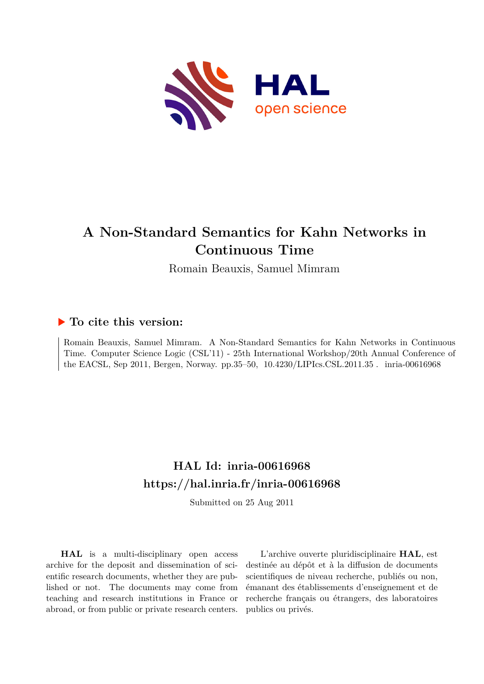

Romain Beauxis, Samuel Mimram

# **To cite this version:**

Romain Beauxis, Samuel Mimram. A Non-Standard Semantics for Kahn Networks in Continuous Time. Computer Science Logic (CSL'11) - 25th International Workshop/20th Annual Conference of the EACSL, Sep 2011, Bergen, Norway. pp.35–50,  $10.4230/LIP$ Ics.CSL.2011.35. inria-00616968

# **HAL Id: inria-00616968 <https://hal.inria.fr/inria-00616968>**

Submitted on 25 Aug 2011

**HAL** is a multi-disciplinary open access archive for the deposit and dissemination of scientific research documents, whether they are published or not. The documents may come from teaching and research institutions in France or abroad, or from public or private research centers.

L'archive ouverte pluridisciplinaire **HAL**, est destinée au dépôt et à la diffusion de documents scientifiques de niveau recherche, publiés ou non, émanant des établissements d'enseignement et de recherche français ou étrangers, des laboratoires publics ou privés.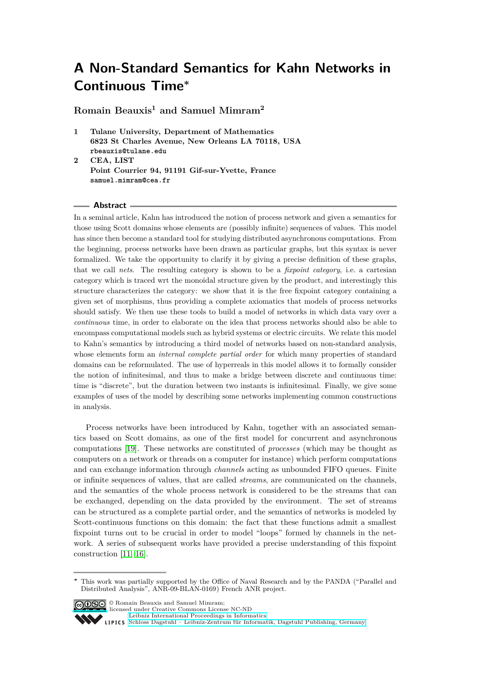**Romain Beauxis<sup>1</sup> and Samuel Mimram<sup>2</sup>**

- **1 Tulane University, Department of Mathematics 6823 St Charles Avenue, New Orleans LA 70118, USA rbeauxis@tulane.edu**
- **2 CEA, LIST Point Courrier 94, 91191 Gif-sur-Yvette, France samuel.mimram@cea.fr**

#### **Abstract**

In a seminal article, Kahn has introduced the notion of process network and given a semantics for those using Scott domains whose elements are (possibly infinite) sequences of values. This model has since then become a standard tool for studying distributed asynchronous computations. From the beginning, process networks have been drawn as particular graphs, but this syntax is never formalized. We take the opportunity to clarify it by giving a precise definition of these graphs, that we call *nets*. The resulting category is shown to be a *fixpoint category*, i.e. a cartesian category which is traced wrt the monoidal structure given by the product, and interestingly this structure characterizes the category: we show that it is the free fixpoint category containing a given set of morphisms, thus providing a complete axiomatics that models of process networks should satisfy. We then use these tools to build a model of networks in which data vary over a *continuous* time, in order to elaborate on the idea that process networks should also be able to encompass computational models such as hybrid systems or electric circuits. We relate this model to Kahn's semantics by introducing a third model of networks based on non-standard analysis, whose elements form an *internal complete partial order* for which many properties of standard domains can be reformulated. The use of hyperreals in this model allows it to formally consider the notion of infinitesimal, and thus to make a bridge between discrete and continuous time: time is "discrete", but the duration between two instants is infinitesimal. Finally, we give some examples of uses of the model by describing some networks implementing common constructions in analysis.

Process networks have been introduced by Kahn, together with an associated semantics based on Scott domains, as one of the first model for concurrent and asynchronous computations [\[19\]](#page-15-0). These networks are constituted of *processes* (which may be thought as computers on a network or threads on a computer for instance) which perform computations and can exchange information through *channels* acting as unbounded FIFO queues. Finite or infinite sequences of values, that are called *streams*, are communicated on the channels, and the semantics of the whole process network is considered to be the streams that can be exchanged, depending on the data provided by the environment. The set of streams can be structured as a complete partial order, and the semantics of networks is modeled by Scott-continuous functions on this domain: the fact that these functions admit a smallest fixpoint turns out to be crucial in order to model "loops" formed by channels in the network. A series of subsequent works have provided a precise understanding of this fixpoint construction [\[11,](#page-15-1) [16\]](#page-15-2).

**<sup>∗</sup>** This work was partially supported by the Office of Naval Research and by the PANDA ("Parallel and Distributed Analysis", ANR-09-BLAN-0169) French ANR project.



© Romain Beauxis and Samuel Mimram; licensed under Creative Commons License NC-ND

[Leibniz International Proceedings in Informatics](http://www.dagstuhl.de/lipics/)

[Schloss Dagstuhl – Leibniz-Zentrum für Informatik, Dagstuhl Publishing, Germany](http://www.dagstuhl.de)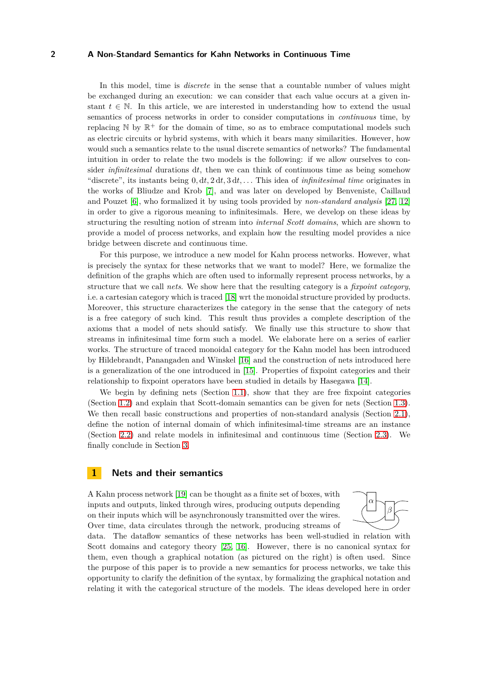In this model, time is *discrete* in the sense that a countable number of values might be exchanged during an execution: we can consider that each value occurs at a given instant  $t \in \mathbb{N}$ . In this article, we are interested in understanding how to extend the usual semantics of process networks in order to consider computations in *continuous* time, by replacing  $\mathbb N$  by  $\mathbb R^+$  for the domain of time, so as to embrace computational models such as electric circuits or hybrid systems, with which it bears many similarities. However, how would such a semantics relate to the usual discrete semantics of networks? The fundamental intuition in order to relate the two models is the following: if we allow ourselves to consider *infinitesimal* durations d*t*, then we can think of continuous time as being somehow "discrete", its instants being 0*,* d*t,* 2 d*t,* 3 d*t, . . .* This idea of *infinitesimal time* originates in the works of Bliudze and Krob [\[7\]](#page-15-3), and was later on developed by Benveniste, Caillaud and Pouzet [\[6\]](#page-15-4), who formalized it by using tools provided by *non-standard analysis* [\[27,](#page-15-5) [12\]](#page-15-6) in order to give a rigorous meaning to infinitesimals. Here, we develop on these ideas by structuring the resulting notion of stream into *internal Scott domains*, which are shown to provide a model of process networks, and explain how the resulting model provides a nice bridge between discrete and continuous time.

For this purpose, we introduce a new model for Kahn process networks. However, what is precisely the syntax for these networks that we want to model? Here, we formalize the definition of the graphs which are often used to informally represent process networks, by a structure that we call *nets*. We show here that the resulting category is a *fixpoint category*, i.e. a cartesian category which is traced [\[18\]](#page-15-7) wrt the monoidal structure provided by products. Moreover, this structure characterizes the category in the sense that the category of nets is a free category of such kind. This result thus provides a complete description of the axioms that a model of nets should satisfy. We finally use this structure to show that streams in infinitesimal time form such a model. We elaborate here on a series of earlier works. The structure of traced monoidal category for the Kahn model has been introduced by Hildebrandt, Panangaden and Winskel [\[16\]](#page-15-2) and the construction of nets introduced here is a generalization of the one introduced in [\[15\]](#page-15-8). Properties of fixpoint categories and their relationship to fixpoint operators have been studied in details by Hasegawa [\[14\]](#page-15-9).

We begin by defining nets (Section [1.1\)](#page-3-0), show that they are free fixpoint categories (Section [1.2\)](#page-5-0) and explain that Scott-domain semantics can be given for nets (Section [1.3\)](#page-7-0). We then recall basic constructions and properties of non-standard analysis (Section [2.1\)](#page-8-0), define the notion of internal domain of which infinitesimal-time streams are an instance (Section [2.2\)](#page-11-0) and relate models in infinitesimal and continuous time (Section [2.3\)](#page-12-0). We finally conclude in Section [3.](#page-14-0)

# <span id="page-2-0"></span>**1 Nets and their semantics**

A Kahn process network [\[19\]](#page-15-0) can be thought as a finite set of boxes, with inputs and outputs, linked through wires, producing outputs depending on their inputs which will be asynchronously transmitted over the wires. Over time, data circulates through the network, producing streams of



data. The dataflow semantics of these networks has been well-studied in relation with Scott domains and category theory [\[25,](#page-15-10) [16\]](#page-15-2). However, there is no canonical syntax for them, even though a graphical notation (as pictured on the right) is often used. Since the purpose of this paper is to provide a new semantics for process networks, we take this opportunity to clarify the definition of the syntax, by formalizing the graphical notation and relating it with the categorical structure of the models. The ideas developed here in order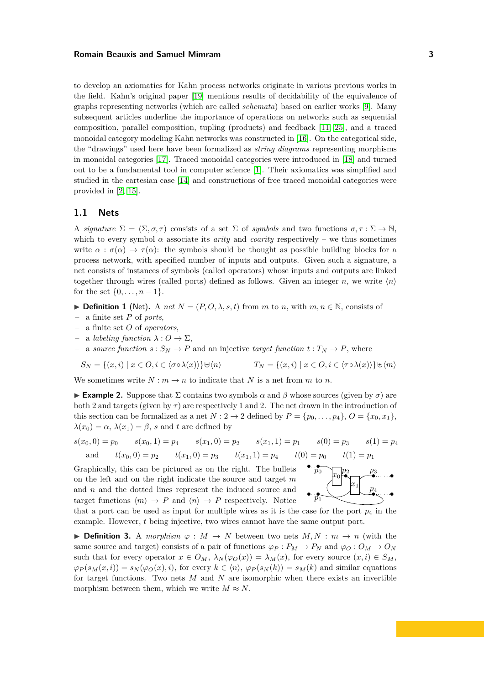to develop an axiomatics for Kahn process networks originate in various previous works in the field. Kahn's original paper [\[19\]](#page-15-0) mentions results of decidability of the equivalence of graphs representing networks (which are called *schemata*) based on earlier works [\[9\]](#page-15-11). Many subsequent articles underline the importance of operations on networks such as sequential composition, parallel composition, tupling (products) and feedback [\[11,](#page-15-1) [25\]](#page-15-10), and a traced monoidal category modeling Kahn networks was constructed in [\[16\]](#page-15-2). On the categorical side, the "drawings" used here have been formalized as *string diagrams* representing morphisms in monoidal categories [\[17\]](#page-15-12). Traced monoidal categories were introduced in [\[18\]](#page-15-7) and turned out to be a fundamental tool in computer science [\[1\]](#page-15-13). Their axiomatics was simplified and studied in the cartesian case [\[14\]](#page-15-9) and constructions of free traced monoidal categories were provided in [\[2,](#page-15-14) [15\]](#page-15-8).

# <span id="page-3-0"></span>**1.1 Nets**

A *signature*  $\Sigma = (\Sigma, \sigma, \tau)$  consists of a set  $\Sigma$  of *symbols* and two functions  $\sigma, \tau : \Sigma \to \mathbb{N}$ , which to every symbol  $\alpha$  associate its *arity* and *coarity* respectively – we thus sometimes write  $\alpha : \sigma(\alpha) \to \tau(\alpha)$ : the symbols should be thought as possible building blocks for a process network, with specified number of inputs and outputs. Given such a signature, a net consists of instances of symbols (called operators) whose inputs and outputs are linked together through wires (called ports) defined as follows. Given an integer *n*, we write  $\langle n \rangle$ for the set  $\{0, \ldots, n-1\}.$ 

► **Definition 1** (Net). A *net*  $N = (P, O, \lambda, s, t)$  from  $m$  to  $n$ , with  $m, n \in \mathbb{N}$ , consists of

- a finite set *P* of *ports*,
- a finite set *O* of *operators*,
- a *labeling function λ* : *O* → Σ,
- a *source function*  $s: S_N \to P$  and an injective *target function*  $t: T_N \to P$ , where

$$
S_N = \{(x, i) \mid x \in O, i \in \langle \sigma \circ \lambda(x) \rangle\} \cup \langle n \rangle
$$

$$
\forall \langle n \rangle \qquad T_N = \{ (x, i) \mid x \in O, i \in \langle \tau \circ \lambda(x) \rangle \} \forall m
$$

We sometimes write  $N : m \to n$  to indicate that N is a net from m to n.

**Example 2.** Suppose that  $\Sigma$  contains two symbols  $\alpha$  and  $\beta$  whose sources (given by  $\sigma$ ) are both 2 and targets (given by  $\tau$ ) are respectively 1 and 2. The net drawn in the introduction of this section can be formalized as a net  $N: 2 \rightarrow 2$  defined by  $P = \{p_0, \ldots, p_4\}, Q = \{x_0, x_1\},$  $\lambda(x_0) = \alpha$ ,  $\lambda(x_1) = \beta$ , *s* and *t* are defined by

$$
s(x_0, 0) = p_0 \t s(x_0, 1) = p_4 \t s(x_1, 0) = p_2 \t s(x_1, 1) = p_1 \t s(0) = p_3 \t s(1) = p_4
$$
  
and  $t(x_0, 0) = p_2 \t t(x_1, 0) = p_3 \t t(x_1, 1) = p_4 \t t(0) = p_0 \t t(1) = p_1$ 

Graphically, this can be pictured as on the right. The bullets on the left and on the right indicate the source and target *m* and *n* and the dotted lines represent the induced source and target functions  $\langle m \rangle \rightarrow P$  and  $\langle n \rangle \rightarrow P$  respectively. Notice



that a port can be used as input for multiple wires as it is the case for the port  $p_4$  in the example. However, *t* being injective, two wires cannot have the same output port.

► **Definition 3.** A *morphism*  $\varphi : M \to N$  between two nets  $M, N : m \to n$  (with the same source and target) consists of a pair of functions  $\varphi_P : P_M \to P_N$  and  $\varphi_O : O_M \to O_N$ such that for every operator  $x \in O_M$ ,  $\lambda_N(\varphi_O(x)) = \lambda_M(x)$ , for every source  $(x, i) \in S_M$ ,  $\varphi_P(s_M(x,i)) = s_N(\varphi_O(x),i)$ , for every  $k \in \langle n \rangle$ ,  $\varphi_P(s_N(k)) = s_M(k)$  and similar equations for target functions. Two nets *M* and *N* are isomorphic when there exists an invertible morphism between them, which we write  $M \approx N$ .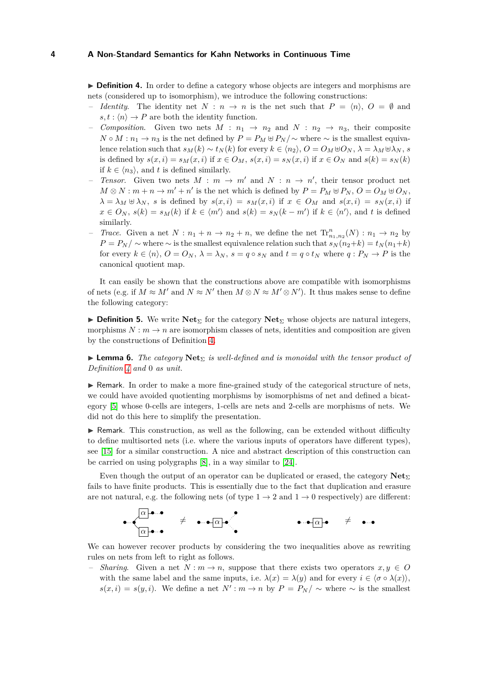<span id="page-4-0"></span>▶ **Definition 4.** In order to define a category whose objects are integers and morphisms are nets (considered up to isomorphism), we introduce the following constructions:

- *Identity.* The identity net  $N : n \to n$  is the net such that  $P = \langle n \rangle$ ,  $O = \emptyset$  and  $s, t : \langle n \rangle \rightarrow P$  are both the identity function.
- *Composition*. Given two nets  $M: n_1 \rightarrow n_2$  and  $N: n_2 \rightarrow n_3$ , their composite *N* ∘ *M* :  $n_1$  →  $n_3$  is the net defined by  $P = P_M \oplus P_N / \sim$  where  $\sim$  is the smallest equivalence relation such that  $s_M(k) \sim t_N(k)$  for every  $k \in \langle n_2 \rangle$ ,  $O = O_M \oplus O_N$ ,  $\lambda = \lambda_M \oplus \lambda_N$ , *s* is defined by  $s(x, i) = s_M(x, i)$  if  $x \in O_M$ ,  $s(x, i) = s_N(x, i)$  if  $x \in O_N$  and  $s(k) = s_N(k)$ if  $k \in \langle n_3 \rangle$ , and *t* is defined similarly.
- $-$  *Tensor.* Given two nets  $M : m \to m'$  and  $N : n \to n'$ , their tensor product net  $M \otimes N : m + n \to m' + n'$  is the net which is defined by  $P = P_M \oplus P_N$ ,  $O = O_M \oplus O_N$ ,  $\lambda = \lambda_M \oplus \lambda_N$ , *s* is defined by  $s(x, i) = s_M(x, i)$  if  $x \in O_M$  and  $s(x, i) = s_N(x, i)$  if  $x \in O_N$ ,  $s(k) = s_M(k)$  if  $k \in \langle m' \rangle$  and  $s(k) = s_N(k - m')$  if  $k \in \langle n' \rangle$ , and *t* is defined similarly.
- *Trace*. Given a net  $N : n_1 + n \rightarrow n_2 + n$ , we define the net  $\text{Tr}_{n_1,n_2}^n(N) : n_1 \rightarrow n_2$  by  $P = P_N / \sim$  where  $\sim$  is the smallest equivalence relation such that  $s_N(n_2 + k) = t_N(n_1 + k)$ for every  $k \in \langle n \rangle$ ,  $O = O_N$ ,  $\lambda = \lambda_N$ ,  $s = q \circ s_N$  and  $t = q \circ t_N$  where  $q : P_N \to P$  is the canonical quotient map.

It can easily be shown that the constructions above are compatible with isomorphisms of nets (e.g. if  $M \approx M'$  and  $N \approx N'$  then  $M \otimes N \approx M' \otimes N'$ ). It thus makes sense to define the following category:

**► Definition 5.** We write **Net**<sub>Σ</sub> for the category **Net**<sub>Σ</sub> whose objects are natural integers, morphisms  $N : m \to n$  are isomorphism classes of nets, identities and composition are given by the constructions of Definition [4.](#page-4-0)

◮ **Lemma 6.** *The category* **Net**<sup>Σ</sup> *is well-defined and is monoidal with the tensor product of Definition [4](#page-4-0) and* 0 *as unit.*

► Remark. In order to make a more fine-grained study of the categorical structure of nets, we could have avoided quotienting morphisms by isomorphisms of net and defined a bicategory [\[5\]](#page-15-15) whose 0-cells are integers, 1-cells are nets and 2-cells are morphisms of nets. We did not do this here to simplify the presentation.

▶ Remark. This construction, as well as the following, can be extended without difficulty to define multisorted nets (i.e. where the various inputs of operators have different types), see [\[15\]](#page-15-8) for a similar construction. A nice and abstract description of this construction can be carried on using polygraphs [\[8\]](#page-15-16), in a way similar to [\[24\]](#page-15-17).

Even though the output of an operator can be duplicated or erased, the category  $\text{Net}_{\Sigma}$ fails to have finite products. This is essentially due to the fact that duplication and erasure are not natural, e.g. the following nets (of type  $1 \rightarrow 2$  and  $1 \rightarrow 0$  respectively) are different:

*α* • • • • *α* • • 6= • • • *α* • • • • *<sup>α</sup>* • <sup>6</sup><sup>=</sup> • •

We can however recover products by considering the two inequalities above as rewriting rules on nets from left to right as follows.

 $\leq$  *Sharing*. Given a net  $N : m \to n$ , suppose that there exists two operators  $x, y \in O$ with the same label and the same inputs, i.e.  $\lambda(x) = \lambda(y)$  and for every  $i \in \langle \sigma \circ \lambda(x) \rangle$ , *s*(*x, i*) = *s*(*y, i*). We define a net  $N'$  :  $m \to n$  by  $P = P_N / ∼$  where ∼ is the smallest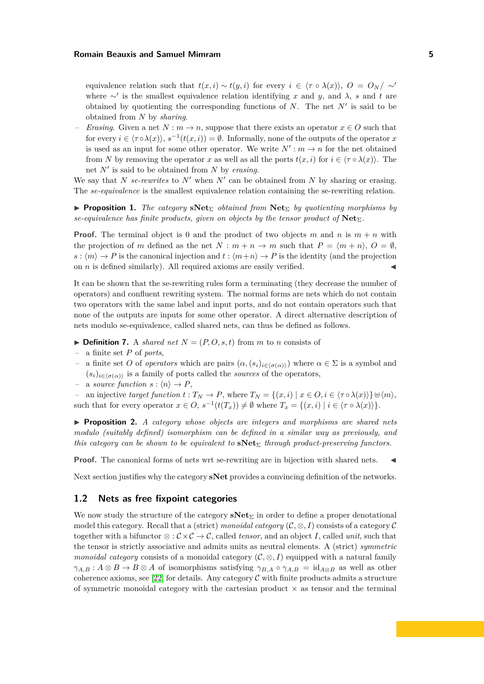equivalence relation such that  $t(x, i) \sim t(y, i)$  for every  $i \in \langle \tau \circ \lambda(x) \rangle$ ,  $O = O_N / \sim'$ where <sup>∼</sup>′ is the smallest equivalence relation identifying *x* and *y*, and *λ*, *s* and *t* are obtained by quotienting the corresponding functions of *N*. The net *N*′ is said to be obtained from *N* by *sharing*.

*Erasing*. Given a net  $N : m \to n$ , suppose that there exists an operator  $x \in O$  such that for every  $i \in \langle \tau \circ \lambda(x) \rangle$ ,  $s^{-1}(t(x, i)) = \emptyset$ . Informally, none of the outputs of the operator *x* is used as an input for some other operator. We write  $N'$  :  $m \to n$  for the net obtained from *N* by removing the operator *x* as well as all the ports  $t(x, i)$  for  $i \in \langle \tau \circ \lambda(x) \rangle$ . The net *N*′ is said to be obtained from *N* by *erasing*.

We say that *N se-rewrites* to  $N'$  when  $N'$  can be obtained from  $N$  by sharing or erasing. The *se-equivalence* is the smallest equivalence relation containing the se-rewriting relation.

**► Proposition 1.** *The category* **sNet**<sub>Σ</sub> *obtained from* **Net**<sub>Σ</sub> *by quotienting morphisms by se-equivalence has finite products, given on objects by the tensor product of* **Net**Σ*.*

**Proof.** The terminal object is 0 and the product of two objects *m* and *n* is  $m + n$  with the projection of *m* defined as the net  $N : m + n \to m$  such that  $P = \langle m + n \rangle$ ,  $Q = \emptyset$ ,  $s : \langle m \rangle \to P$  is the canonical injection and  $t : \langle m+n \rangle \to P$  is the identity (and the projection on  $n$  is defined similarly). All required axioms are easily verified.

It can be shown that the se-rewriting rules form a terminating (they decrease the number of operators) and confluent rewriting system. The normal forms are nets which do not contain two operators with the same label and input ports, and do not contain operators such that none of the outputs are inputs for some other operator. A direct alternative description of nets modulo se-equivalence, called shared nets, can thus be defined as follows.

- $\blacktriangleright$  **Definition 7.** A *shared net*  $N = (P, O, s, t)$  from *m* to *n* consists of
- a finite set *P* of *ports*,
- a finite set *O* of *operators* which are pairs  $(\alpha, (s_i)_{i \in \langle \sigma(\alpha) \rangle})$  where  $\alpha \in \Sigma$  is a symbol and  $(s_i)_{i \in \langle \sigma(\alpha) \rangle}$  is a family of ports called the *sources* of the operators,
- $-$  a *source function*  $s : \langle n \rangle \rightarrow P$ ,

 $-$  an injective *target function*  $t: T_N \to P$ , where  $T_N = \{(x, i) | x ∈ O, i ∈ \langle τ ∘ λ(x) \rangle\} ⊕ \langle m \rangle$ , such that for every operator  $x \in O$ ,  $s^{-1}(t(T_x)) \neq \emptyset$  where  $T_x = \{(x, i) | i \in \langle \tau \circ \lambda(x) \rangle\}.$ 

◮ **Proposition 2.** *A category whose objects are integers and morphisms are shared nets modulo (suitably defined) isomorphism can be defined in a similar way as previously, and this category can be shown to be equivalent to* **sNet**<sup>Σ</sup> *through product-preserving functors.*

**Proof.** The canonical forms of nets wrt se-rewriting are in bijection with shared nets.

Next section justifies why the category **sNet** provides a convincing definition of the networks.

### <span id="page-5-0"></span>**1.2 Nets as free fixpoint categories**

We now study the structure of the category  $sNet_{\Sigma}$  in order to define a proper denotational model this category. Recall that a (strict) *monoidal category*  $(C, \otimes, I)$  consists of a category C together with a bifunctor  $\otimes : \mathcal{C} \times \mathcal{C} \to \mathcal{C}$ , called *tensor*, and an object *I*, called *unit*, such that the tensor is strictly associative and admits units as neutral elements. A (strict) *symmetric monoidal category* consists of a monoidal category  $(C, \otimes, I)$  equipped with a natural family  $\gamma_{A,B}: A \otimes B \to B \otimes A$  of isomorphisms satisfying  $\gamma_{B,A} \circ \gamma_{A,B} = id_{A \otimes B}$  as well as other coherence axioms, see [\[22\]](#page-15-18) for details. Any category  $\mathcal C$  with finite products admits a structure of symmetric monoidal category with the cartesian product  $\times$  as tensor and the terminal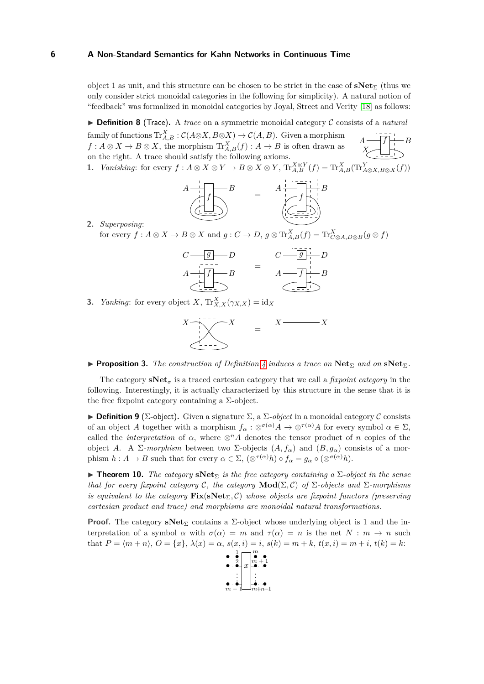object 1 as unit, and this structure can be chosen to be strict in the case of **sNet**<sup>Σ</sup> (thus we only consider strict monoidal categories in the following for simplicity). A natural notion of "feedback" was formalized in monoidal categories by Joyal, Street and Verity [\[18\]](#page-15-7) as follows:

◮ **Definition 8** (Trace)**.** A *trace* on a symmetric monoidal category C consists of a *natural*  $A \rightarrow$  *f*  $\left| \cdot \right|$  *B X* family of functions  $\text{Tr}_{A,B}^X : \mathcal{C}(A \otimes X, B \otimes X) \to \mathcal{C}(A,B)$ . Given a morphism  $f: A \otimes X \to B \otimes X$ , the morphism  $\text{Tr}_{A,B}^X(f): A \to B$  is often drawn as on the right. A trace should satisfy the following axioms. 1. Vanishing: for every  $f: A \otimes X \otimes Y \to B \otimes X \otimes Y$ ,  $\text{Tr}_{A,B}^{X \otimes Y}(f) = \text{Tr}_{A,B}^{X}(\text{Tr}_{A \otimes X, B \otimes X}^{Y}(f))$ 



**2.** *Superposing*:

for every  $f: A \otimes X \to B \otimes X$  and  $g: C \to D$ ,  $g \otimes \text{Tr}_{A,B}^X(f) = \text{Tr}_{C \otimes A, D \otimes B}^X(g \otimes f)$ 

$$
C \longrightarrow g \longrightarrow D
$$
\n
$$
A \longrightarrow f \longrightarrow B
$$
\n
$$
A \longrightarrow f \longrightarrow B
$$
\n
$$
C \longrightarrow g \longrightarrow D
$$
\n
$$
A \longrightarrow f \longrightarrow B
$$
\n
$$
A \longrightarrow f \longrightarrow B
$$

**3.** *Yanking*: for every object *X*,  $\text{Tr}_{X,X}^X(\gamma_{X,X}) = \text{id}_X$ 

$$
X \xrightarrow{\cdot} X
$$
 = 
$$
X \xrightarrow{\cdot} X
$$
 = 
$$
X \xrightarrow{\cdot} X
$$

◮ **Proposition 3.** *The construction of Definition [4](#page-4-0) induces a trace on* **Net**<sup>Σ</sup> *and on* **sNet**Σ*.*

The category  $\mathbf{sNet}_{\sigma}$  is a traced cartesian category that we call a *fixpoint category* in the following. Interestingly, it is actually characterized by this structure in the sense that it is the free fixpoint category containing a  $\Sigma$ -object.

 $\triangleright$  **Definition 9** (Σ-object). Given a signature  $\Sigma$ , a  $\Sigma$ -*object* in a monoidal category C consists of an object *A* together with a morphism  $f_{\alpha}: \otimes^{\sigma(\alpha)} A \to \otimes^{\tau(\alpha)} A$  for every symbol  $\alpha \in \Sigma$ , called the *interpretation* of  $\alpha$ , where  $\otimes^n A$  denotes the tensor product of *n* copies of the object *A*. A Σ*-morphism* between two Σ-objects  $(A, f_\alpha)$  and  $(B, g_\alpha)$  consists of a morphism  $h: A \to B$  such that for every  $\alpha \in \Sigma$ ,  $(\otimes^{\tau(\alpha)} h) \circ f_{\alpha} = g_{\alpha} \circ (\otimes^{\sigma(\alpha)} h)$ .

<span id="page-6-0"></span>◮ **Theorem 10.** *The category* **sNet**<sup>Σ</sup> *is the free category containing a* Σ*-object in the sense that for every fixpoint category*  $\mathcal{C}$ *, the category*  $\mathbf{Mod}(\Sigma, \mathcal{C})$  *of*  $\Sigma$ *-objects and*  $\Sigma$ *-morphisms is equivalent to the category*  $\text{Fix}(\text{sNet}_{\Sigma}, \mathcal{C})$  whose objects are fixpoint functors (preserving *cartesian product and trace) and morphisms are monoidal natural transformations.*

**Proof.** The category **sNet**<sub>Σ</sub> contains a  $\Sigma$ -object whose underlying object is 1 and the interpretation of a symbol  $\alpha$  with  $\sigma(\alpha) = m$  and  $\tau(\alpha) = n$  is the net  $N : m \to n$  such that  $P = \langle m+n \rangle$ ,  $O = \{x\}$ ,  $\lambda(x) = \alpha$ ,  $s(x, i) = i$ ,  $s(k) = m+k$ ,  $t(x, i) = m+i$ ,  $t(k) = k$ .

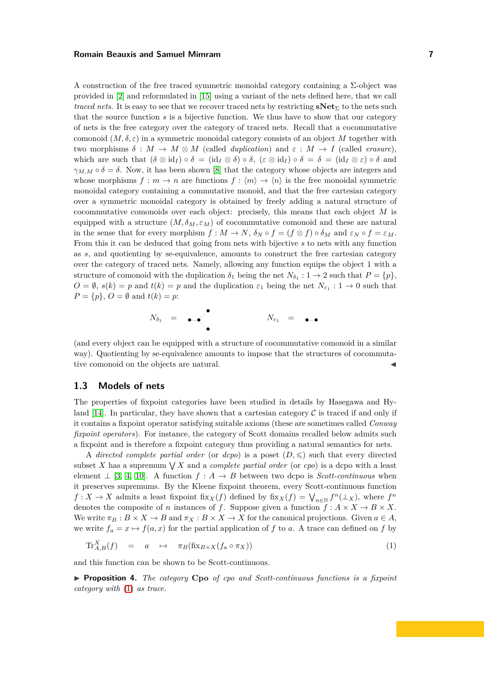A construction of the free traced symmetric monoidal category containing a  $\Sigma$ -object was provided in [\[2\]](#page-15-14) and reformulated in [\[15\]](#page-15-8) using a variant of the nets defined here, that we call *traced nets.* It is easy to see that we recover traced nets by restricting  $\mathbf{sNet}_{\Sigma}$  to the nets such that the source function *s* is a bijective function. We thus have to show that our category of nets is the free category over the category of traced nets. Recall that a cocommutative comonoid  $(M, \delta, \varepsilon)$  in a symmetric monoidal category consists of an object M together with two morphisms  $\delta : M \to M \otimes M$  (called *duplication*) and  $\varepsilon : M \to I$  (called *erasure*), which are such that  $(\delta \otimes id_I) \circ \delta = (id_I \otimes \delta) \circ \delta$ ,  $(\varepsilon \otimes id_I) \circ \delta = \delta = (id_I \otimes \varepsilon) \circ \delta$  and  $\gamma_{M,M} \circ \delta = \delta$ . Now, it has been shown [\[8\]](#page-15-16) that the category whose objects are integers and whose morphisms  $f : m \to n$  are functions  $f : \langle m \rangle \to \langle n \rangle$  is the free monoidal symmetric monoidal category containing a commutative monoid, and that the free cartesian category over a symmetric monoidal category is obtained by freely adding a natural structure of cocommutative comonoids over each object: precisely, this means that each object *M* is equipped with a structure  $(M, \delta_M, \varepsilon_M)$  of cocommutative comonoid and these are natural in the sense that for every morphism  $f : M \to N$ ,  $\delta_N \circ f = (f \otimes f) \circ \delta_M$  and  $\varepsilon_N \circ f = \varepsilon_M$ . From this it can be deduced that going from nets with bijective *s* to nets with any function as *s*, and quotienting by se-equivalence, amounts to construct the free cartesian category over the category of traced nets. Namely, allowing any function equips the object 1 with a structure of comonoid with the duplication  $\delta_1$  being the net  $N_{\delta_1} : 1 \to 2$  such that  $P = \{p\}$ ,  $O = \emptyset$ ,  $s(k) = p$  and  $t(k) = p$  and the duplication  $\varepsilon_1$  being the net  $N_{\varepsilon_1} : 1 \to 0$  such that  $P = \{p\}, Q = \emptyset \text{ and } t(k) = p$ :

$$
N_{\delta_1} = \bullet \bullet \bullet \qquad \qquad N_{\varepsilon_1} = \bullet \bullet \bullet
$$

(and every object can be equipped with a structure of cocommutative comonoid in a similar way). Quotienting by se-equivalence amounts to impose that the structures of cocommutative comonoid on the objects are natural.

# <span id="page-7-0"></span>**1.3 Models of nets**

The properties of fixpoint categories have been studied in details by Hasegawa and Hy-land [\[14\]](#page-15-9). In particular, they have shown that a cartesian category  $\mathcal C$  is traced if and only if it contains a fixpoint operator satisfying suitable axioms (these are sometimes called *Conway fixpoint operators*). For instance, the category of Scott domains recalled below admits such a fixpoint and is therefore a fixpoint category thus providing a natural semantics for nets.

A *directed complete partial order* (or *dcpo*) is a poset  $(D, \leq)$  such that every directed subset X has a supremum  $\bigvee X$  and a *complete partial order* (or *cpo*) is a dcpo with a least element  $\perp$  [\[3,](#page-15-19) [4,](#page-15-20) [10\]](#page-15-21). A function  $f : A \rightarrow B$  between two dcpo is *Scott-continuous* when it preserves supremums. By the Kleene fixpoint theorem, every Scott-continuous function  $f: X \to X$  admits a least fixpoint fix $_X(f)$  defined by fix $_X(f) = \bigvee_{n \in \mathbb{N}} f^n(\perp_X)$ , where  $f^n$ denotes the composite of *n* instances of *f*. Suppose given a function  $f : A \times X \to B \times X$ . We write  $\pi_B : B \times X \to B$  and  $\pi_X : B \times X \to X$  for the canonical projections. Given  $a \in A$ , we write  $f_a = x \mapsto f(a, x)$  for the partial application of f to a. A trace can defined on f by

<span id="page-7-1"></span>
$$
\operatorname{Tr}_{A,B}^X(f) = a \quad \mapsto \quad \pi_B(\operatorname{fix}_{B \times X}(f_a \circ \pi_X)) \tag{1}
$$

and this function can be shown to be Scott-continuous.

◮ **Proposition 4.** *The category* **Cpo** *of cpo and Scott-continuous functions is a fixpoint category with* [\(1\)](#page-7-1) *as trace.*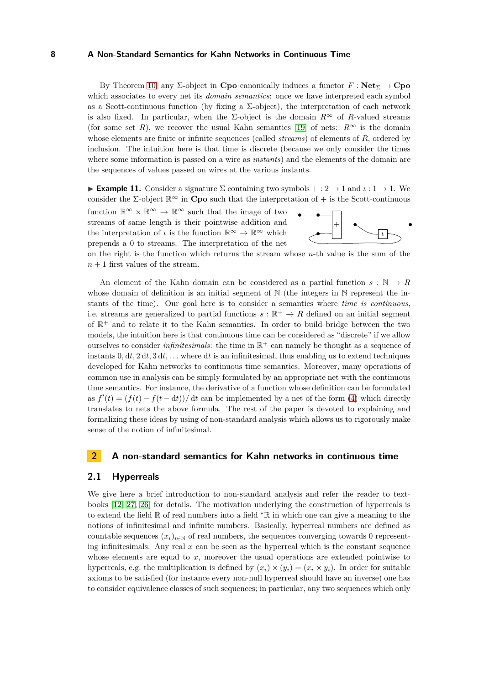By Theorem [10,](#page-6-0) any  $\Sigma$ -object in **Cpo** canonically induces a functor  $F : \textbf{Net}_{\Sigma} \to \textbf{Cpo}$ which associates to every net its *domain semantics*: once we have interpreted each symbol as a Scott-continuous function (by fixing a  $\Sigma$ -object), the interpretation of each network is also fixed. In particular, when the  $\Sigma$ -object is the domain  $R^{\infty}$  of *R*-valued streams (for some set *R*), we recover the usual Kahn semantics [\[19\]](#page-15-0) of nets:  $R^{\infty}$  is the domain whose elements are finite or infinite sequences (called *streams*) of elements of *R*, ordered by inclusion. The intuition here is that time is discrete (because we only consider the times where some information is passed on a wire as *instants*) and the elements of the domain are the sequences of values passed on wires at the various instants.

**Example 11.** Consider a signature  $\Sigma$  containing two symbols  $+: 2 \rightarrow 1$  and  $\iota: 1 \rightarrow 1$ . We consider the  $\Sigma$ -object  $\mathbb{R}^{\infty}$  in **Cpo** such that the interpretation of + is the Scott-continuous

function  $\mathbb{R}^{\infty} \times \mathbb{R}^{\infty} \to \mathbb{R}^{\infty}$  such that the image of two streams of same length is their pointwise addition and the interpretation of *ι* is the function  $\mathbb{R}^{\infty} \to \mathbb{R}^{\infty}$  which prepends a 0 to streams. The interpretation of the net



on the right is the function which returns the stream whose *n*-th value is the sum of the  $n+1$  first values of the stream.

An element of the Kahn domain can be considered as a partial function  $s : \mathbb{N} \to R$ whose domain of definition is an initial segment of N (the integers in N represent the instants of the time). Our goal here is to consider a semantics where *time is continuous*, i.e. streams are generalized to partial functions  $s : \mathbb{R}^+ \to R$  defined on an initial segment of R <sup>+</sup> and to relate it to the Kahn semantics. In order to build bridge between the two models, the intuition here is that continuous time can be considered as "discrete" if we allow ourselves to consider *infinitesimals*: the time in  $\mathbb{R}^+$  can namely be thought as a sequence of instants  $0, dt, 2 dt, 3 dt, \ldots$  where dt is an infinitesimal, thus enabling us to extend techniques developed for Kahn networks to continuous time semantics. Moreover, many operations of common use in analysis can be simply formulated by an appropriate net with the continuous time semantics. For instance, the derivative of a function whose definition can be formulated as  $f'(t) = (f(t) - f(t - dt))/dt$  can be implemented by a net of the form [\(4\)](#page-13-0) which directly translates to nets the above formula. The rest of the paper is devoted to explaining and formalizing these ideas by using of non-standard analysis which allows us to rigorously make sense of the notion of infinitesimal.

#### **2 A non-standard semantics for Kahn networks in continuous time**

#### <span id="page-8-0"></span>**2.1 Hyperreals**

We give here a brief introduction to non-standard analysis and refer the reader to textbooks [\[12,](#page-15-6) [27,](#page-15-5) [26\]](#page-15-22) for details. The motivation underlying the construction of hyperreals is to extend the field R of real numbers into a field <sup>∗</sup>R in which one can give a meaning to the notions of infinitesimal and infinite numbers. Basically, hyperreal numbers are defined as countable sequences  $(x_i)_{i \in \mathbb{N}}$  of real numbers, the sequences converging towards 0 representing infinitesimals. Any real  $x$  can be seen as the hyperreal which is the constant sequence whose elements are equal to  $x$ , moreover the usual operations are extended pointwise to hyperreals, e.g. the multiplication is defined by  $(x_i) \times (y_i) = (x_i \times y_i)$ . In order for suitable axioms to be satisfied (for instance every non-null hyperreal should have an inverse) one has to consider equivalence classes of such sequences; in particular, any two sequences which only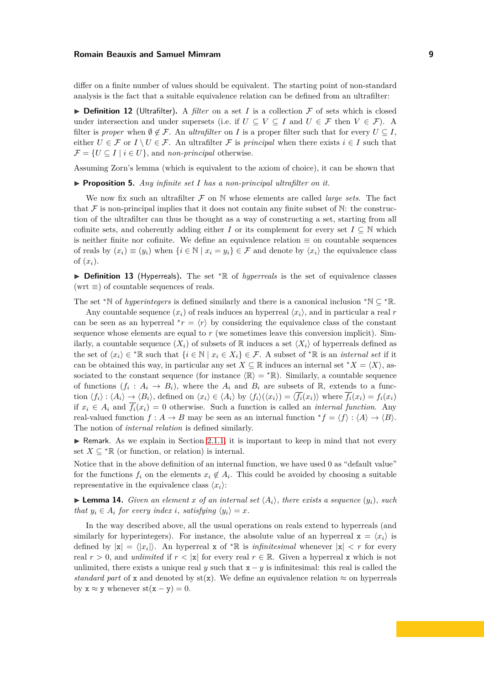differ on a finite number of values should be equivalent. The starting point of non-standard analysis is the fact that a suitable equivalence relation can be defined from an ultrafilter:

 $\triangleright$  **Definition 12** (Ultrafilter). A *filter* on a set *I* is a collection  $\mathcal F$  of sets which is closed under intersection and under supersets (i.e. if  $U \subseteq V \subseteq I$  and  $U \in \mathcal{F}$  then  $V \in \mathcal{F}$ ). A filter is *proper* when  $\emptyset \notin \mathcal{F}$ . An *ultrafilter* on *I* is a proper filter such that for every  $U \subseteq I$ , either  $U \in \mathcal{F}$  or  $I \setminus U \in \mathcal{F}$ . An ultrafilter  $\mathcal{F}$  is *principal* when there exists  $i \in I$  such that  $\mathcal{F} = \{ U \subseteq I \mid i \in U \}$ , and *non-principal* otherwise.

Assuming Zorn's lemma (which is equivalent to the axiom of choice), it can be shown that

▶ **Proposition 5.** *Any infinite set I has a non-principal ultrafilter on it.* 

We now fix such an ultrafilter  $\mathcal F$  on N whose elements are called *large sets*. The fact that  $\mathcal F$  is non-principal implies that it does not contain any finite subset of  $\mathbb N$ : the construction of the ultrafilter can thus be thought as a way of constructing a set, starting from all cofinite sets, and coherently adding either *I* or its complement for every set  $I \subseteq N$  which is neither finite nor cofinite. We define an equivalence relation  $\equiv$  on countable sequences of reals by  $(x_i) \equiv (y_i)$  when  $\{i \in \mathbb{N} \mid x_i = y_i\} \in \mathcal{F}$  and denote by  $\langle x_i \rangle$  the equivalence class of (*xi*).

◮ **Definition 13** (Hyperreals)**.** The set <sup>∗</sup>R of *hyperreals* is the set of equivalence classes  $(wrt \equiv)$  of countable sequences of reals.

The set <sup>∗</sup>N of *hyperintegers* is defined similarly and there is a canonical inclusion <sup>∗</sup>N ⊆ <sup>∗</sup>R.

Any countable sequence  $(x_i)$  of reals induces an hyperreal  $\langle x_i \rangle$ , and in particular a real *r* can be seen as an hyperreal  $\hat{r} = \langle r \rangle$  by considering the equivalence class of the constant sequence whose elements are equal to  $r$  (we sometimes leave this conversion implicit). Similarly, a countable sequence  $(X_i)$  of subsets of R induces a set  $\langle X_i \rangle$  of hyperreals defined as the set of  $\langle x_i \rangle \in {}^* \mathbb{R}$  such that  $\{i \in \mathbb{N} \mid x_i \in X_i\} \in \mathcal{F}$ . A subset of  ${}^* \mathbb{R}$  is an *internal set* if it can be obtained this way, in particular any set  $X \subseteq \mathbb{R}$  induces an internal set  $^*X = \langle X \rangle$ , associated to the constant sequence (for instance  $\langle \mathbb{R} \rangle = * \mathbb{R}$ ). Similarly, a countable sequence of functions  $(f_i: A_i \to B_i)$ , where the  $A_i$  and  $B_i$  are subsets of R, extends to a function  $\langle f_i \rangle : \langle A_i \rangle \to \langle B_i \rangle$ , defined on  $\langle x_i \rangle \in \langle A_i \rangle$  by  $\langle f_i \rangle (\langle x_i \rangle) = \langle f_i(x_i) \rangle$  where  $\overline{f_i}(x_i) = f_i(x_i)$ if  $x_i \in A_i$  and  $\overline{f_i}(x_i) = 0$  otherwise. Such a function is called an *internal function*. Any real-valued function  $f : A \to B$  may be seen as an internal function  ${}^*f = \langle f \rangle : \langle A \rangle \to \langle B \rangle$ . The notion of *internal relation* is defined similarly.

 $\blacktriangleright$  Remark. As we explain in Section [2.1.1,](#page-10-0) it is important to keep in mind that not every set  $X \subseteq {}^*\mathbb{R}$  (or function, or relation) is internal.

Notice that in the above definition of an internal function, we have used 0 as "default value" for the functions  $f_i$  on the elements  $x_i \notin A_i$ . This could be avoided by choosing a suitable representative in the equivalence class  $\langle x_i \rangle$ :

<span id="page-9-0"></span>**Lemma 14.** *Given an element x of an internal set*  $\langle A_i \rangle$ *, there exists a sequence*  $(y_i)$ *, such that*  $y_i \in A_i$  *for every index i, satisfying*  $\langle y_i \rangle = x$ *.* 

In the way described above, all the usual operations on reals extend to hyperreals (and similarly for hyperintegers). For instance, the absolute value of an hyperreal  $\mathbf{x} = \langle x_i \rangle$  is defined by  $|x| = \langle |x_i| \rangle$ . An hyperreal x of <sup>\*</sup>R is *infinitesimal* whenever  $|x| < r$  for every real  $r > 0$ , and *unlimited* if  $r < |x|$  for every real  $r \in \mathbb{R}$ . Given a hyperreal x which is not unlimited, there exists a unique real *y* such that  $x - y$  is infinitesimal: this real is called the *standard part* of x and denoted by  $s f(x)$ . We define an equivalence relation  $\approx$  on hyperreals by  $x \approx y$  whenever  $st(x - y) = 0$ .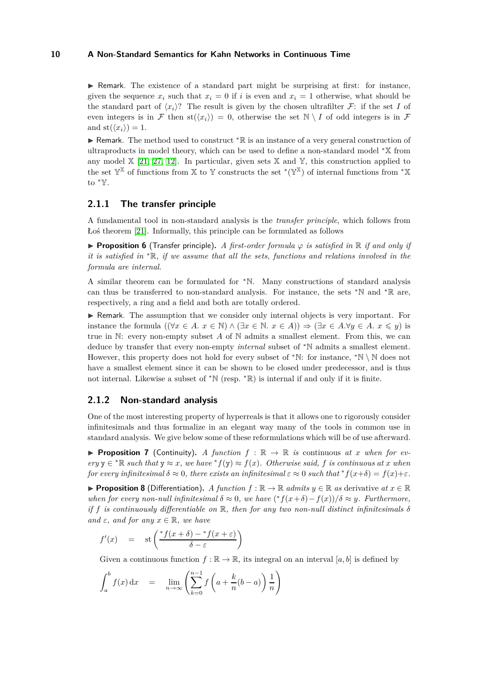$\triangleright$  Remark. The existence of a standard part might be surprising at first: for instance, given the sequence  $x_i$  such that  $x_i = 0$  if *i* is even and  $x_i = 1$  otherwise, what should be the standard part of  $\langle x_i \rangle$ ? The result is given by the chosen ultrafilter F: if the set *I* of even integers is in F then  $\text{st}(\langle x_i \rangle) = 0$ , otherwise the set  $\mathbb{N} \setminus I$  of odd integers is in F and  $\text{st}(\langle x_i \rangle) = 1$ .

► Remark. The method used to construct <sup>∗</sup>R is an instance of a very general construction of ultraproducts in model theory, which can be used to define a non-standard model <sup>∗</sup>X from any model  $\mathbb{X}$  [\[21,](#page-15-23) [27,](#page-15-5) [12\]](#page-15-6). In particular, given sets  $\mathbb{X}$  and  $\mathbb{Y}$ , this construction applied to the set  $\mathbb{Y}^{\mathbb{X}}$  of functions from X to Y constructs the set  $^{\ast}(\mathbb{Y}^{\mathbb{X}})$  of internal functions from  $^{\ast}\mathbb{X}$ to <sup>∗</sup>Y.

# <span id="page-10-0"></span>**2.1.1 The transfer principle**

A fundamental tool in non-standard analysis is the *transfer principle*, which follows from Łoś theorem [\[21\]](#page-15-23). Informally, this principle can be formulated as follows

<span id="page-10-1"></span>◮ **Proposition 6** (Transfer principle)**.** *A first-order formula ϕ is satisfied in* R *if and only if it is satisfied in* <sup>∗</sup>R*, if we assume that all the sets, functions and relations involved in the formula are internal.*

A similar theorem can be formulated for <sup>∗</sup>N. Many constructions of standard analysis can thus be transferred to non-standard analysis. For instance, the sets <sup>∗</sup>N and <sup>∗</sup>R are, respectively, a ring and a field and both are totally ordered.

▶ Remark. The assumption that we consider only internal objects is very important. For instance the formula  $((\forall x \in A, x \in \mathbb{N}) \wedge (\exists x \in \mathbb{N}, x \in A)) \Rightarrow (\exists x \in A. \forall y \in A, x \leq y)$  is true in N: every non-empty subset *A* of N admits a smallest element. From this, we can deduce by transfer that every non-empty *internal* subset of <sup>∗</sup>N admits a smallest element. However, this property does not hold for every subset of  $*\mathbb{N}$ : for instance,  $*\mathbb{N} \setminus \mathbb{N}$  does not have a smallest element since it can be shown to be closed under predecessor, and is thus not internal. Likewise a subset of <sup>∗</sup>N (resp. <sup>∗</sup>R) is internal if and only if it is finite.

# **2.1.2 Non-standard analysis**

One of the most interesting property of hyperreals is that it allows one to rigorously consider infinitesimals and thus formalize in an elegant way many of the tools in common use in standard analysis. We give below some of these reformulations which will be of use afterward.

<span id="page-10-2"></span>**Proposition 7** (Continuity). A function  $f : \mathbb{R} \to \mathbb{R}$  is continuous at *x* when for ev $e^{y}$   $\in$  <sup>\*</sup>R *such that*  $y \approx x$ *, we have* <sup>\*</sup> $f(y) \approx f(x)$ *. Otherwise said,*  $f$  *is continuous at x when for every infinitesimal*  $\delta \approx 0$ , there exists an infinitesimal  $\varepsilon \approx 0$  such that  ${}^*f(x+\delta) = f(x)+\varepsilon$ .

<span id="page-10-3"></span>**Proposition 8** (Differentiation). A function  $f : \mathbb{R} \to \mathbb{R}$  admits  $y \in \mathbb{R}$  as derivative at  $x \in \mathbb{R}$ *when for every non-null infinitesimal*  $\delta \approx 0$ , we have  $({*}f(x+\delta) - f(x))/\delta \approx y$ . Furthermore, *if*  $f$  *is continuously differentiable on*  $\mathbb{R}$ *, then for any two non-null distinct infinitesimals*  $\delta$ *and*  $\varepsilon$ *, and for any*  $x \in \mathbb{R}$ *, we have* 

$$
f'(x) = \operatorname{st}\left(\frac{f(x+\delta) - f(x+\varepsilon)}{\delta - \varepsilon}\right)
$$

Given a continuous function  $f : \mathbb{R} \to \mathbb{R}$ , its integral on an interval [a, b] is defined by

$$
\int_{a}^{b} f(x) dx = \lim_{n \to \infty} \left( \sum_{k=0}^{n-1} f\left(a + \frac{k}{n}(b-a)\right) \frac{1}{n} \right)
$$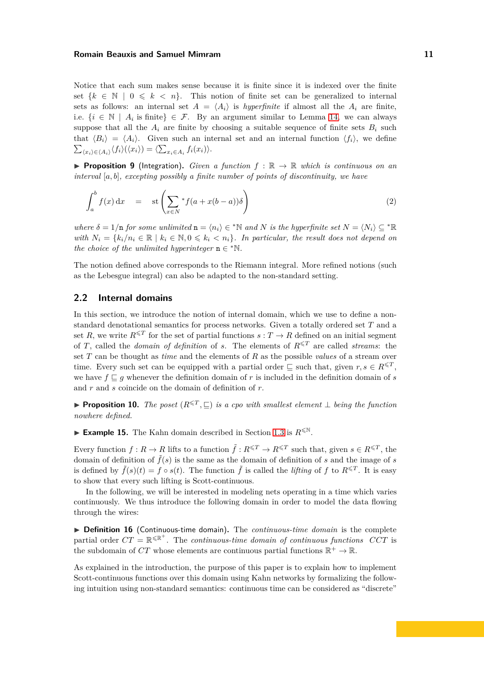Notice that each sum makes sense because it is finite since it is indexed over the finite set  $\{k \in \mathbb{N} \mid 0 \leq k \leq n\}$ . This notion of finite set can be generalized to internal sets as follows: an internal set  $A = \langle A_i \rangle$  is *hyperfinite* if almost all the  $A_i$  are finite, i.e.  $\{i \in \mathbb{N} \mid A_i \text{ is finite}\}\in \mathcal{F}$ . By an argument similar to Lemma [14,](#page-9-0) we can always suppose that all the  $A_i$  are finite by choosing a suitable sequence of finite sets  $B_i$  such that  $\langle B_i \rangle = \langle A_i \rangle$ . Given such an internal set and an internal function  $\langle f_i \rangle$ , we define  $\sum_{\langle x_i \rangle \in \langle A_i \rangle} \langle f_i \rangle (\langle x_i \rangle) = \langle \sum_{x_i \in A_i} f_i(x_i) \rangle.$ 

<span id="page-11-1"></span>**Proposition 9** (Integration). *Given a function*  $f : \mathbb{R} \to \mathbb{R}$  which is continuous on an *interval* [*a, b*]*, excepting possibly a finite number of points of discontinuity, we have*

$$
\int_{a}^{b} f(x) dx = \operatorname{st}\left(\sum_{x \in N} {}^{*} f(a + x(b-a))\delta\right)
$$
\n(2)

*where*  $\delta = 1/n$  *for some unlimited*  $n = \langle n_i \rangle \in {^*N}$  *and N is the hyperfinite set*  $N = \langle N_i \rangle \subseteq {^*R}$ *with*  $N_i = \{k_i/n_i \in \mathbb{R} \mid k_i \in \mathbb{N}, 0 \leq k_i < n_i\}$ . In particular, the result does not depend on *the choice of the unlimited hyperinteger*  $n \in \mathbb{N}$ *.* 

The notion defined above corresponds to the Riemann integral. More refined notions (such as the Lebesgue integral) can also be adapted to the non-standard setting.

#### <span id="page-11-0"></span>**2.2 Internal domains**

In this section, we introduce the notion of internal domain, which we use to define a nonstandard denotational semantics for process networks. Given a totally ordered set *T* and a set *R*, we write  $R^{\leq T}$  for the set of partial functions  $s: T \to R$  defined on an initial segment of *T*, called the *domain of definition* of *s*. The elements of  $R^{\leq T}$  are called *streams*: the set *T* can be thought as *time* and the elements of *R* as the possible *values* of a stream over time. Every such set can be equipped with a partial order  $\subseteq$  such that, given  $r, s \in R^{\leq T}$ , we have  $f \sqsubseteq g$  whenever the definition domain of *r* is included in the definition domain of *s* and *r* and *s* coincide on the domain of definition of *r*.

▶ **Proposition 10.** *The poset*  $(R^{\leq T}, \subseteq)$  *is a cpo with smallest element*  $\perp$  *being the function nowhere defined.*

**Example 15.** The Kahn domain described in Section [1.3](#page-7-0) is  $R^{\leq N}$ .

Every function  $f: R \to R$  lifts to a function  $\tilde{f}: R^{\leq T} \to R^{\leq T}$  such that, given  $s \in R^{\leq T}$ , the domain of definition of  $\tilde{f}(s)$  is the same as the domain of definition of *s* and the image of *s* is defined by  $\tilde{f}(s)(t) = f \circ s(t)$ . The function  $\tilde{f}$  is called the *lifting* of  $f$  to  $R^{\leq T}$ . It is easy to show that every such lifting is Scott-continuous.

In the following, we will be interested in modeling nets operating in a time which varies continuously. We thus introduce the following domain in order to model the data flowing through the wires:

▶ **Definition 16** (Continuous-time domain). The *continuous-time domain* is the complete partial order  $CT = \mathbb{R}^{\leq \mathbb{R}^+}$ . The *continuous-time domain of continuous functions*  $\mathbb{C}CT$  is the subdomain of  $CT$  whose elements are continuous partial functions  $\mathbb{R}^+ \to \mathbb{R}$ .

As explained in the introduction, the purpose of this paper is to explain how to implement Scott-continuous functions over this domain using Kahn networks by formalizing the following intuition using non-standard semantics: continuous time can be considered as "discrete"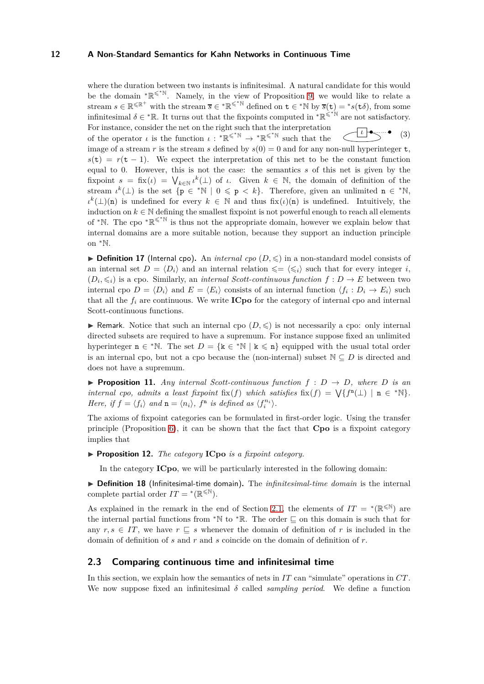<span id="page-12-1"></span>where the duration between two instants is infinitesimal. A natural candidate for this would be the domain  ${}^* \mathbb{R}^{\leqslant^* \mathbb{N}}$ . Namely, in the view of Proposition [9,](#page-11-1) we would like to relate a stream  $s \in \mathbb{R}^{\leq \mathbb{R}^+}$  with the stream  $\overline{s} \in {^*}\mathbb{R}^{\leq^*}\mathbb{N}$  defined on  $\mathbf{t} \in {^*}\mathbb{N}$  by  $\overline{s}(\mathbf{t}) = {^*}s(\mathbf{t}\delta)$ , from some infinitesimal  $\delta \in {}^*\mathbb{R}$ . It turns out that the fixpoints computed in  ${}^*\mathbb{R}^{\leq *^*\mathbb{N}}$  are not satisfactory. *ι* • (3) For instance, consider the net on the right such that the interpretation of the operator *ι* is the function  $\iota : {\mathbb R}^{\leq \mathbb N} \to {\mathbb R}^{\leq \mathbb N}$  such that the image of a stream *r* is the stream *s* defined by  $s(0) = 0$  and for any non-null hyperinteger **t**,  $s(t) = r(t-1)$ . We expect the interpretation of this net to be the constant function equal to 0. However, this is not the case: the semantics *s* of this net is given by the fixpoint  $s = f(x) = \bigvee_{k \in \mathbb{N}} t^k(\perp)$  of *ι*. Given  $k \in \mathbb{N}$ , the domain of definition of the stream  $\iota^k(\perp)$  is the set  $\{p \in *N \mid 0 \leq p < k\}$ . Therefore, given an unlimited  $n \in *N$ ,  $\iota^k(\perp)(n)$  is undefined for every  $k \in \mathbb{N}$  and thus  $fix(\iota)(n)$  is undefined. Intuitively, the induction on  $k \in \mathbb{N}$  defining the smallest fixpoint is not powerful enough to reach all elements of \*N. The cpo \* $\mathbb{R}^{\leq N}$  is thus not the appropriate domain, however we explain below that internal domains are a more suitable notion, because they support an induction principle on <sup>∗</sup>N.

 $\triangleright$  **Definition 17** (Internal cpo). An *internal cpo*  $(D, \leq)$  in a non-standard model consists of an internal set  $D = \langle D_i \rangle$  and an internal relation  $\leq \leq \langle \leq_i \rangle$  such that for every integer *i*,  $(D_i, \leq_i)$  is a cpo. Similarly, an *internal Scott-continuous function*  $f : D \to E$  between two internal cpo  $D = \langle D_i \rangle$  and  $E = \langle E_i \rangle$  consists of an internal function  $\langle f_i : D_i \to E_i \rangle$  such that all the  $f_i$  are continuous. We write **ICpo** for the category of internal cpo and internal Scott-continuous functions.

Remark. Notice that such an internal cpo  $(D, \leqslant)$  is not necessarily a cpo: only internal directed subsets are required to have a supremum. For instance suppose fixed an unlimited hyperinteger  $n \in * \mathbb{N}$ . The set  $D = \{k \in * \mathbb{N} \mid k \leq n\}$  equipped with the usual total order is an internal cpo, but not a cpo because the (non-internal) subset  $\mathbb{N} \subseteq D$  is directed and does not have a supremum.

<span id="page-12-2"></span>**Proposition 11.** Any internal Scott-continuous function  $f : D \to D$ , where D is an *internal cpo, admits a least fixpoint*  $fix(f)$  *which satisfies*  $fix(f) = \sqrt{f^n(\perp)} \mid n \in \{N\}$ *. Here, if*  $f = \langle f_i \rangle$  *and*  $\mathbf{n} = \langle n_i \rangle$ ,  $f^{\mathbf{n}}$  *is defined as*  $\langle f_i^{n_i} \rangle$ .

The axioms of fixpoint categories can be formulated in first-order logic. Using the transfer principle (Proposition [6\)](#page-10-1), it can be shown that the fact that **Cpo** is a fixpoint category implies that

▶ **Proposition 12.** *The category* **ICpo** *is a fixpoint category.* 

In the category **ICpo**, we will be particularly interested in the following domain:

▶ **Definition 18** (Infinitesimal-time domain). The *infinitesimal-time domain* is the internal complete partial order  $IT = *(\mathbb{R}^{\leq \mathbb{N}})$ .

As explained in the remark in the end of Section [2.1,](#page-8-0) the elements of  $IT = *(\mathbb{R}^{\leq \mathbb{N}})$  are the internal partial functions from \*N to \*R. The order  $\subseteq$  on this domain is such that for any  $r, s \in \textit{IT}$ , we have  $r \subseteq s$  whenever the domain of definition of  $r$  is included in the domain of definition of *s* and *r* and *s* coincide on the domain of definition of *r*.

# <span id="page-12-0"></span>**2.3 Comparing continuous time and infinitesimal time**

In this section, we explain how the semantics of nets in *IT* can "simulate" operations in *CT* . We now suppose fixed an infinitesimal  $\delta$  called *sampling period*. We define a function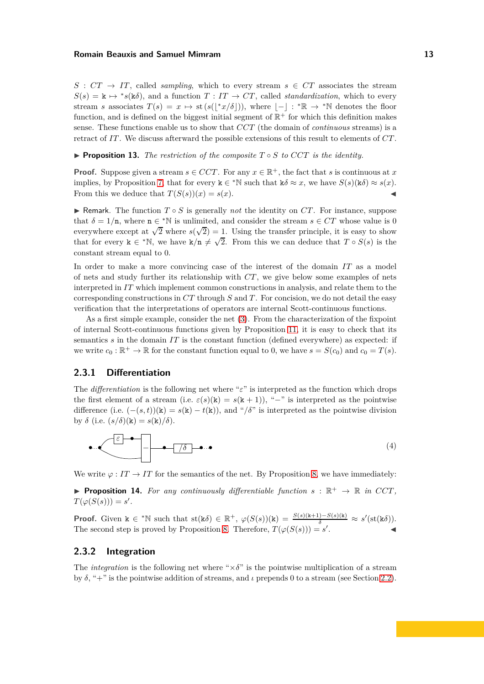$S:CT \rightarrow IT$ , called *sampling*, which to every stream  $s \in CT$  associates the stream  $S(s) = \mathbf{k} \mapsto {}^*s(\mathbf{k}\delta)$ , and a function  $T : IT \to CT$ , called *standardization*, which to every stream *s* associates  $T(s) = x \mapsto$  st  $(s(\lfloor x/\delta \rfloor))$ , where  $\lfloor - \rfloor : \mathbb{R} \to \mathbb{R}$  denotes the floor function, and is defined on the biggest initial segment of  $\mathbb{R}^+$  for which this definition makes sense. These functions enable us to show that *CCT* (the domain of *continuous* streams) is a retract of *IT* . We discuss afterward the possible extensions of this result to elements of *CT* .

<span id="page-13-1"></span>◮ **Proposition 13.** *The restriction of the composite T* ◦ *S to CCT is the identity.*

**Proof.** Suppose given a stream  $s \in CCT$ . For any  $x \in \mathbb{R}^+$ , the fact that *s* is continuous at *x* implies, by Proposition [7,](#page-10-2) that for every  $\mathbf{k} \in {}^*\mathbb{N}$  such that  $\mathbf{k}\delta \approx x$ , we have  $S(s)(\mathbf{k}\delta) \approx s(x)$ . From this we deduce that  $T(S(s))(x) = s(x)$ .

Remark. The function  $T \circ S$  is generally *not* the identity on  $CT$ . For instance, suppose that  $\delta = 1/n$ , where  $n \in \mathbb{N}$  is unlimited, and consider the stream  $s \in CT$  whose value is 0 everywhere except at  $\sqrt{2}$  where  $s(\sqrt{2}) = 1$ . Using the transfer principle, it is easy to show that for every  $k \in {}^{*}\mathbb{N}$ , we have  $k/n \neq \sqrt{2}$ . From this we can deduce that  $T \circ S(s)$  is the constant stream equal to 0.

In order to make a more convincing case of the interest of the domain *IT* as a model of nets and study further its relationship with *CT* , we give below some examples of nets interpreted in *IT* which implement common constructions in analysis, and relate them to the corresponding constructions in *CT* through *S* and *T* . For concision, we do not detail the easy verification that the interpretations of operators are internal Scott-continuous functions.

As a first simple example, consider the net [\(3\)](#page-12-1). From the characterization of the fixpoint of internal Scott-continuous functions given by Proposition [11,](#page-12-2) it is easy to check that its semantics *s* in the domain *IT* is the constant function (defined everywhere) as expected: if we write  $c_0 : \mathbb{R}^+ \to \mathbb{R}$  for the constant function equal to 0, we have  $s = S(c_0)$  and  $c_0 = T(s)$ .

#### **2.3.1 Differentiation**

The *differentiation* is the following net where "*ε*" is interpreted as the function which drops the first element of a stream (i.e.  $\varepsilon(s)(k) = s(k+1)$ ), "-" is interpreted as the pointwise difference (i.e.  $(-(s,t))(\mathbf{k}) = s(\mathbf{k}) - t(\mathbf{k})$ ), and "/ $\delta$ " is interpreted as the pointwise division by  $\delta$  (i.e.  $(s/\delta)(\mathbf{k}) = s(\mathbf{k})/\delta$ ).

<span id="page-13-0"></span>
$$
\bullet \qquad \qquad \bullet \qquad \qquad (4)
$$

We write  $\varphi : I \to I \to I \to I$  for the semantics of the net. By Proposition [8,](#page-10-3) we have immediately:

**Proposition 14.** For any continuously differentiable function  $s : \mathbb{R}^+ \to \mathbb{R}$  in CCT,  $T(\varphi(S(s))) = s'.$ 

**Proof.** Given  $k \in \mathbb{N}$  such that  $st(k\delta) \in \mathbb{R}^+, \varphi(S(s))(k) = \frac{S(s)(k+1)-S(s)(k)}{\delta} \approx s'(st(k\delta)).$ The second step is proved by Proposition [8.](#page-10-3) Therefore,  $T(\varphi(S(s))) = s'$ . ◭

### **2.3.2 Integration**

The *integration* is the following net where " $\times \delta$ " is the pointwise multiplication of a stream by  $\delta$ , "+" is the pointwise addition of streams, and *ι* prepends 0 to a stream (see Section [2.2\)](#page-11-0).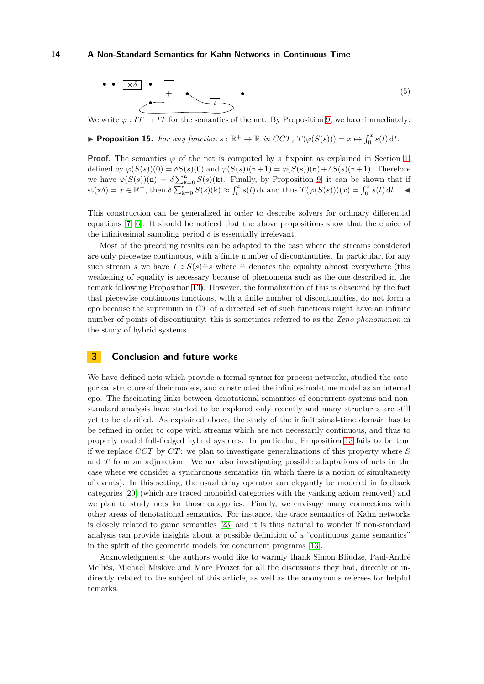

We write  $\varphi : I \to I \to I \to I$  for the semantics of the net. By Proposition [9,](#page-11-1) we have immediately:

▶ **Proposition 15.** *For any function*  $s : \mathbb{R}^+ \to \mathbb{R}$  *in CCT*,  $T(\varphi(S(s))) = x \mapsto \int_0^x s(t) dt$ .

**Proof.** The semantics  $\varphi$  of the net is computed by a fixpoint as explained in Section [1,](#page-2-0) defined by  $\varphi(S(s))(0) = \delta S(s)(0)$  and  $\varphi(S(s))(n+1) = \varphi(S(s))(n) + \delta S(s)(n+1)$ . Therefore we have  $\varphi(S(s))(\mathbf{n}) = \delta \sum_{\mathbf{k}=0}^{\mathbf{n}} S(s)(\mathbf{k})$ . Finally, by Proposition [9,](#page-11-1) it can be shown that if  $\text{st}(\mathbf{x}\delta) = x \in \mathbb{R}^+, \text{ then } \delta \sum_{k=0}^{\mathbf{n}-0} S(s)(\mathbf{k}) \approx \int_0^x s(t) dt \text{ and thus } T(\varphi(S(s)))(x) = \int_0^x s(t) dt.$ 

This construction can be generalized in order to describe solvers for ordinary differential equations [\[7,](#page-15-3) [6\]](#page-15-4). It should be noticed that the above propositions show that the choice of the infinitesimal sampling period  $\delta$  is essentially irrelevant.

Most of the preceding results can be adapted to the case where the streams considered are only piecewise continuous, with a finite number of discontinuities. In particular, for any such stream *s* we have  $T \circ S(s) \triangleq s$  where  $\triangleq$  denotes the equality almost everywhere (this weakening of equality is necessary because of phenomena such as the one described in the remark following Proposition [13\)](#page-13-1). However, the formalization of this is obscured by the fact that piecewise continuous functions, with a finite number of discontinuities, do not form a cpo because the supremum in *CT* of a directed set of such functions might have an infinite number of points of discontinuity: this is sometimes referred to as the *Zeno phenomenon* in the study of hybrid systems.

#### <span id="page-14-0"></span>**3 Conclusion and future works**

We have defined nets which provide a formal syntax for process networks, studied the categorical structure of their models, and constructed the infinitesimal-time model as an internal cpo. The fascinating links between denotational semantics of concurrent systems and nonstandard analysis have started to be explored only recently and many structures are still yet to be clarified. As explained above, the study of the infinitesimal-time domain has to be refined in order to cope with streams which are not necessarily continuous, and thus to properly model full-fledged hybrid systems. In particular, Proposition [13](#page-13-1) fails to be true if we replace *CCT* by *CT* : we plan to investigate generalizations of this property where *S* and *T* form an adjunction. We are also investigating possible adaptations of nets in the case where we consider a synchronous semantics (in which there is a notion of simultaneity of events). In this setting, the usual delay operator can elegantly be modeled in feedback categories [\[20\]](#page-15-24) (which are traced monoidal categories with the yanking axiom removed) and we plan to study nets for those categories. Finally, we envisage many connections with other areas of denotational semantics. For instance, the trace semantics of Kahn networks is closely related to game semantics [\[23\]](#page-15-25) and it is thus natural to wonder if non-standard analysis can provide insights about a possible definition of a "continuous game semantics" in the spirit of the geometric models for concurrent programs [\[13\]](#page-15-26).

Acknowledgments: the authors would like to warmly thank Simon Bliudze, Paul-André Melliès, Michael Mislove and Marc Pouzet for all the discussions they had, directly or indirectly related to the subject of this article, as well as the anonymous referees for helpful remarks.